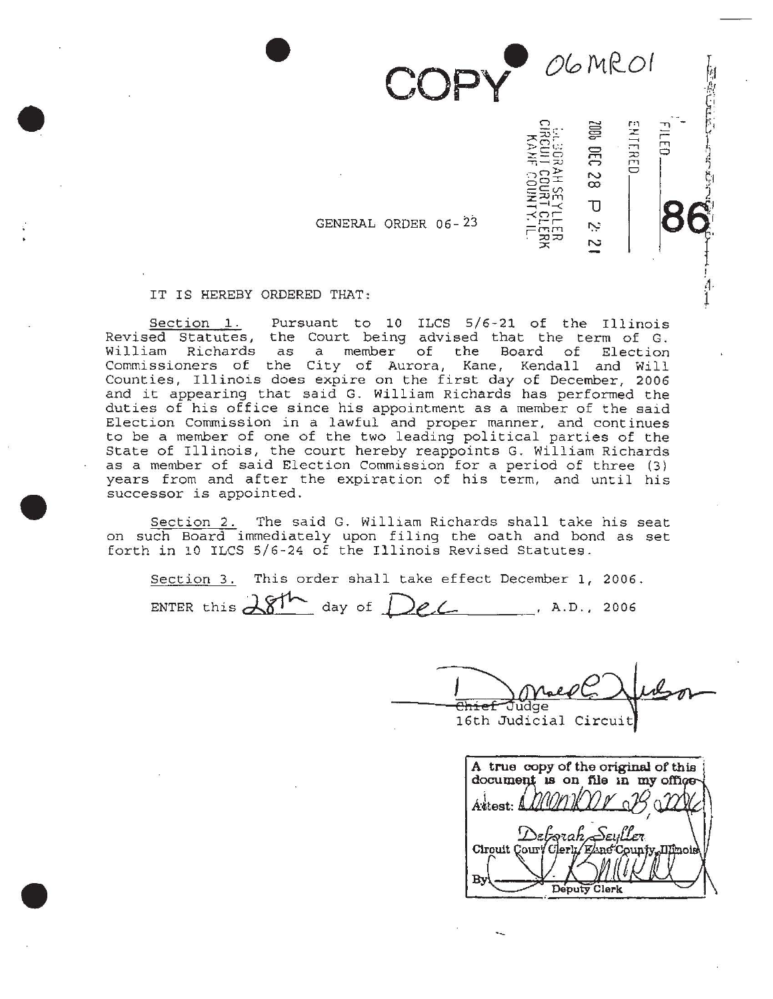OGMROI

.

1006 DEC 28

 $\overline{\mathtt{U}}$ نب  $\overline{\mathcal{C}}$  ENTERED

. .

'

GENERAL ORDER 06-

IT IS HEREBY ORDERED THAT:

Section 1. Pursuant to 10 ILCS 5/6-21 of the Illinois Revised Statutes, the Court being advised that the term of G. William Richards as a member of the Board of Election Commissioners of the City of Aurora, Kane, Kendall and Will Counties, Illinois does expire on the first day of December, 2006 and it appearing that said G. William Richards has performed the duties of his office since his appointment as a member of the said Election Commission in a lawful and proper manner, and continues to be a member of one of the two leading political parties of the State of Illinois, the court hereby reappoints G. William Richards as a member of said Election Commission for a period of three (3) years from and after the expiration of his term, and until his successor is appointed.

Section 2. The said G. William Richards shall take his seat on such Board immediately upon filing the oath and bond as set forth in 10 ILCS 5/6-24 of the Illinois Revised Statutes.

Section 3. This order shall take effect December 1, 2006. ENTER this  $281^{\circ}$  day of  $DeL$ , A.D., 2006

16th Circuit

۰.

A true copy of the original of this document is on file in my office Áttest: A Seuller Deborah **Ilinois** Circuit Court  $[$ [ $\mathbf{r}$ ] By Deputy Clerk